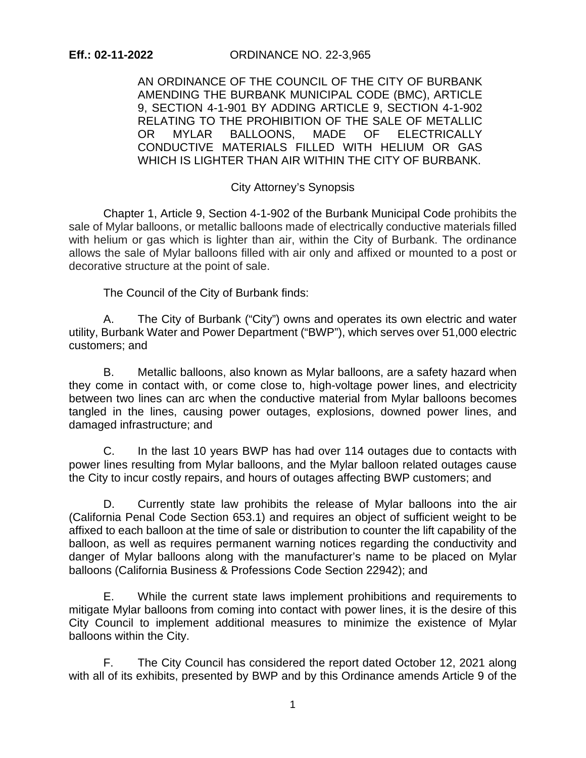AN ORDINANCE OF THE COUNCIL OF THE CITY OF BURBANK AMENDING THE BURBANK MUNICIPAL CODE (BMC), ARTICLE 9, SECTION 4-1-901 BY ADDING ARTICLE 9, SECTION 4-1-902 RELATING TO THE PROHIBITION OF THE SALE OF METALLIC OR MYLAR BALLOONS, MADE OF ELECTRICALLY CONDUCTIVE MATERIALS FILLED WITH HELIUM OR GAS WHICH IS LIGHTER THAN AIR WITHIN THE CITY OF BURBANK.

## City Attorney's Synopsis

Chapter 1, Article 9, Section 4-1-902 of the Burbank Municipal Code prohibits the sale of Mylar balloons, or metallic balloons made of electrically conductive materials filled with helium or gas which is lighter than air, within the City of Burbank. The ordinance allows the sale of Mylar balloons filled with air only and affixed or mounted to a post or decorative structure at the point of sale.

The Council of the City of Burbank finds:

A. The City of Burbank ("City") owns and operates its own electric and water utility, Burbank Water and Power Department ("BWP"), which serves over 51,000 electric customers; and

B. Metallic balloons, also known as Mylar balloons, are a safety hazard when they come in contact with, or come close to, high-voltage power lines, and electricity between two lines can arc when the conductive material from Mylar balloons becomes tangled in the lines, causing power outages, explosions, downed power lines, and damaged infrastructure; and

C. In the last 10 years BWP has had over 114 outages due to contacts with power lines resulting from Mylar balloons, and the Mylar balloon related outages cause the City to incur costly repairs, and hours of outages affecting BWP customers; and

D. Currently state law prohibits the release of Mylar balloons into the air (California Penal Code Section 653.1) and requires an object of sufficient weight to be affixed to each balloon at the time of sale or distribution to counter the lift capability of the balloon, as well as requires permanent warning notices regarding the conductivity and danger of Mylar balloons along with the manufacturer's name to be placed on Mylar balloons (California Business & Professions Code Section 22942); and

E. While the current state laws implement prohibitions and requirements to mitigate Mylar balloons from coming into contact with power lines, it is the desire of this City Council to implement additional measures to minimize the existence of Mylar balloons within the City.

F. The City Council has considered the report dated October 12, 2021 along with all of its exhibits, presented by BWP and by this Ordinance amends Article 9 of the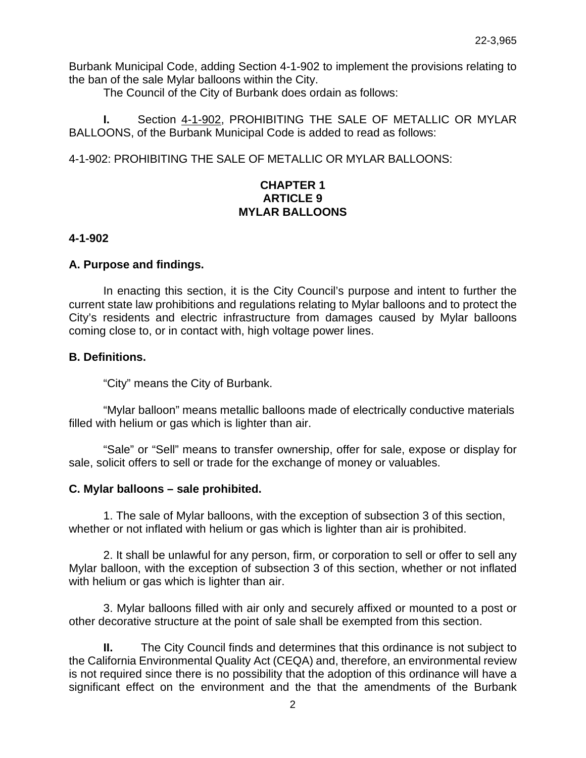Burbank Municipal Code, adding Section 4-1-902 to implement the provisions relating to the ban of the sale Mylar balloons within the City.

The Council of the City of Burbank does ordain as follows:

**I.** Section 4-1-902, PROHIBITING THE SALE OF METALLIC OR MYLAR BALLOONS, of the Burbank Municipal Code is added to read as follows:

4-1-902: PROHIBITING THE SALE OF METALLIC OR MYLAR BALLOONS:

# **CHAPTER 1 ARTICLE 9 MYLAR BALLOONS**

## **4-1-902**

## **A. Purpose and findings.**

In enacting this section, it is the City Council's purpose and intent to further the current state law prohibitions and regulations relating to Mylar balloons and to protect the City's residents and electric infrastructure from damages caused by Mylar balloons coming close to, or in contact with, high voltage power lines.

## **B. Definitions.**

"City" means the City of Burbank.

"Mylar balloon" means metallic balloons made of electrically conductive materials filled with helium or gas which is lighter than air.

"Sale" or "Sell" means to transfer ownership, offer for sale, expose or display for sale, solicit offers to sell or trade for the exchange of money or valuables.

#### **C. Mylar balloons – sale prohibited.**

1. The sale of Mylar balloons, with the exception of subsection 3 of this section, whether or not inflated with helium or gas which is lighter than air is prohibited.

2. It shall be unlawful for any person, firm, or corporation to sell or offer to sell any Mylar balloon, with the exception of subsection 3 of this section, whether or not inflated with helium or gas which is lighter than air.

3. Mylar balloons filled with air only and securely affixed or mounted to a post or other decorative structure at the point of sale shall be exempted from this section.

**II.** The City Council finds and determines that this ordinance is not subject to the California Environmental Quality Act (CEQA) and, therefore, an environmental review is not required since there is no possibility that the adoption of this ordinance will have a significant effect on the environment and the that the amendments of the Burbank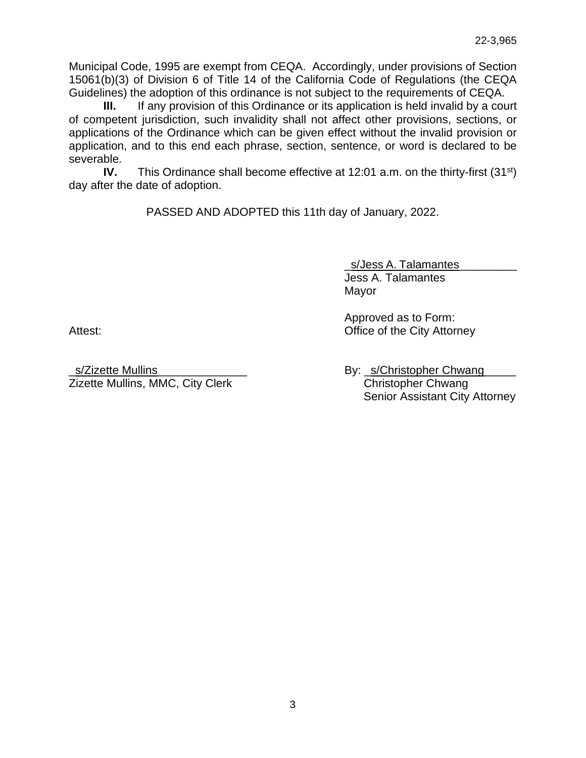Municipal Code, 1995 are exempt from CEQA. Accordingly, under provisions of Section 15061(b)(3) of Division 6 of Title 14 of the California Code of Regulations (the CEQA Guidelines) the adoption of this ordinance is not subject to the requirements of CEQA.

**III.** If any provision of this Ordinance or its application is held invalid by a court of competent jurisdiction, such invalidity shall not affect other provisions, sections, or applications of the Ordinance which can be given effect without the invalid provision or application, and to this end each phrase, section, sentence, or word is declared to be severable.

**IV.** This Ordinance shall become effective at 12:01 a.m. on the thirty-first (31<sup>st</sup>) day after the date of adoption.

PASSED AND ADOPTED this 11th day of January, 2022.

\_s/Jess A. Talamantes\_\_\_\_\_\_\_\_\_ Jess A. Talamantes Mayor

Approved as to Form: Attest: **Office of the City Attorney** 

\_s/Zizette Mullins\_\_\_\_\_\_\_\_\_\_\_\_\_\_ By: \_s/Christopher Chwang\_\_\_\_\_ Zizette Mullins, MMC, City Clerk Christopher Chwang

Senior Assistant City Attorney